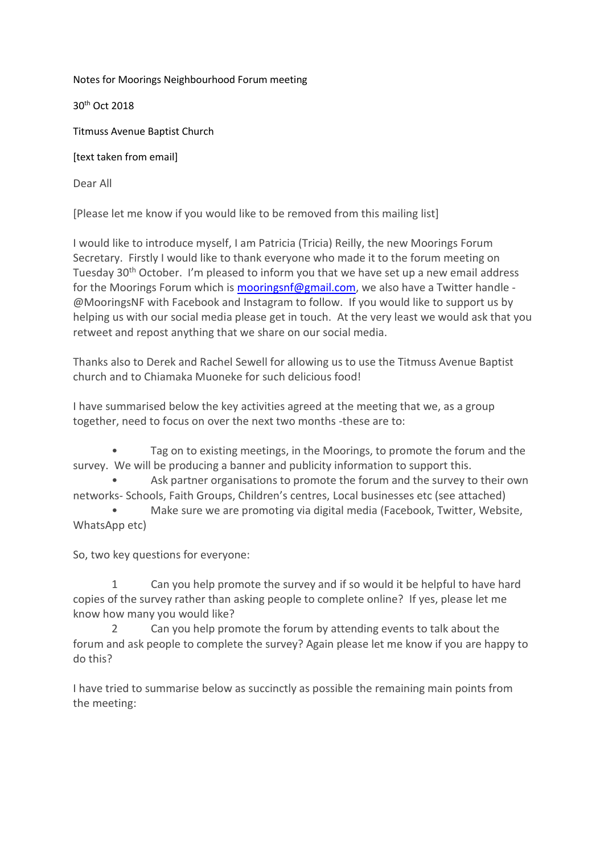Notes for Moorings Neighbourhood Forum meeting

30th Oct 2018

Titmuss Avenue Baptist Church

[text taken from email]

Dear All

[Please let me know if you would like to be removed from this mailing list]

I would like to introduce myself, I am Patricia (Tricia) Reilly, the new Moorings Forum Secretary. Firstly I would like to thank everyone who made it to the forum meeting on Tuesday 30th October. I'm pleased to inform you that we have set up a new email address for the Moorings Forum which is [mooringsnf@gmail.com,](mailto:mooringsnf@gmail.com) we also have a Twitter handle - @MooringsNF with Facebook and Instagram to follow. If you would like to support us by helping us with our social media please get in touch. At the very least we would ask that you retweet and repost anything that we share on our social media.

Thanks also to Derek and Rachel Sewell for allowing us to use the Titmuss Avenue Baptist church and to Chiamaka Muoneke for such delicious food!

I have summarised below the key activities agreed at the meeting that we, as a group together, need to focus on over the next two months -these are to:

Tag on to existing meetings, in the Moorings, to promote the forum and the survey. We will be producing a banner and publicity information to support this.

Ask partner organisations to promote the forum and the survey to their own networks- Schools, Faith Groups, Children's centres, Local businesses etc (see attached)

 • Make sure we are promoting via digital media (Facebook, Twitter, Website, WhatsApp etc)

So, two key questions for everyone:

 1 Can you help promote the survey and if so would it be helpful to have hard copies of the survey rather than asking people to complete online? If yes, please let me know how many you would like?

 2 Can you help promote the forum by attending events to talk about the forum and ask people to complete the survey? Again please let me know if you are happy to do this?

I have tried to summarise below as succinctly as possible the remaining main points from the meeting: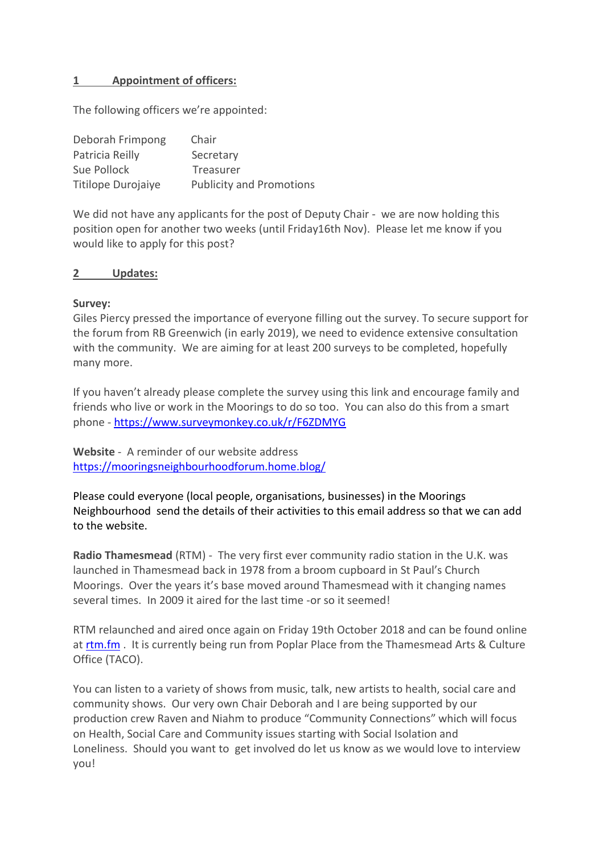### **1 Appointment of officers:**

The following officers we're appointed:

| Deborah Frimpong   | Chair                           |
|--------------------|---------------------------------|
| Patricia Reilly    | Secretary                       |
| Sue Pollock        | Treasurer                       |
| Titilope Durojaiye | <b>Publicity and Promotions</b> |

We did not have any applicants for the post of Deputy Chair - we are now holding this position open for another two weeks (until Friday16th Nov). Please let me know if you would like to apply for this post?

#### **2 Updates:**

#### **Survey:**

Giles Piercy pressed the importance of everyone filling out the survey. To secure support for the forum from RB Greenwich (in early 2019), we need to evidence extensive consultation with the community. We are aiming for at least 200 surveys to be completed, hopefully many more.

If you haven't already please complete the survey using this link and encourage family and friends who live or work in the Moorings to do so too. You can also do this from a smart phone - <https://www.surveymonkey.co.uk/r/F6ZDMYG>

**Website** - A reminder of our website address <https://mooringsneighbourhoodforum.home.blog/>

Please could everyone (local people, organisations, businesses) in the Moorings Neighbourhood send the details of their activities to this email address so that we can add to the website.

**Radio Thamesmead** (RTM) - The very first ever community radio station in the U.K. was launched in Thamesmead back in 1978 from a broom cupboard in St Paul's Church Moorings. Over the years it's base moved around Thamesmead with it changing names several times. In 2009 it aired for the last time -or so it seemed!

RTM relaunched and aired once again on Friday 19th October 2018 and can be found online at [rtm.fm](http://rtm.fm/) . It is currently being run from Poplar Place from the Thamesmead Arts & Culture Office (TACO).

You can listen to a variety of shows from music, talk, new artists to health, social care and community shows. Our very own Chair Deborah and I are being supported by our production crew Raven and Niahm to produce "Community Connections" which will focus on Health, Social Care and Community issues starting with Social Isolation and Loneliness. Should you want to get involved do let us know as we would love to interview you!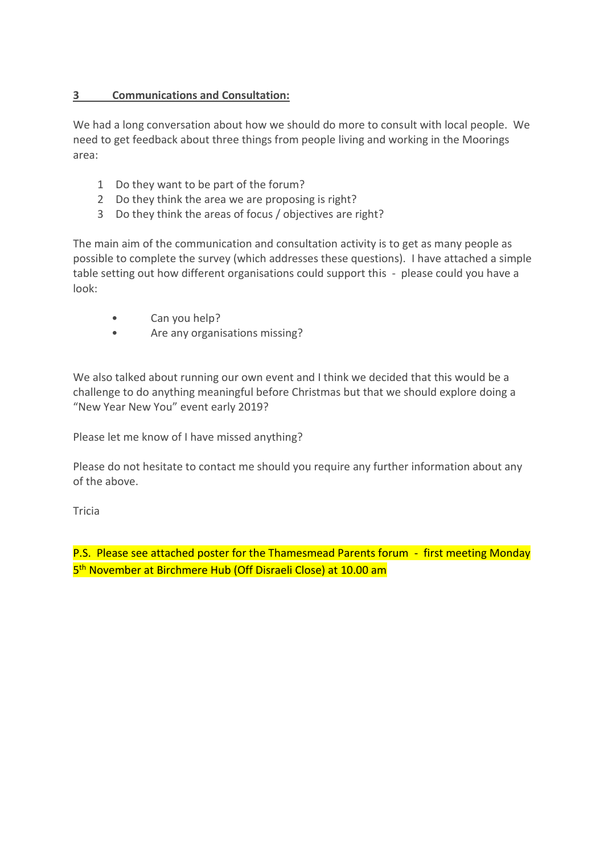## **3 Communications and Consultation:**

We had a long conversation about how we should do more to consult with local people. We need to get feedback about three things from people living and working in the Moorings area:

- 1 Do they want to be part of the forum?
- 2 Do they think the area we are proposing is right?
- 3 Do they think the areas of focus / objectives are right?

The main aim of the communication and consultation activity is to get as many people as possible to complete the survey (which addresses these questions). I have attached a simple table setting out how different organisations could support this - please could you have a look:

- Can you help?
- Are any organisations missing?

We also talked about running our own event and I think we decided that this would be a challenge to do anything meaningful before Christmas but that we should explore doing a "New Year New You" event early 2019?

Please let me know of I have missed anything?

Please do not hesitate to contact me should you require any further information about any of the above.

Tricia

P.S. Please see attached poster for the Thamesmead Parents forum - first meeting Monday 5<sup>th</sup> November at Birchmere Hub (Off Disraeli Close) at 10.00 am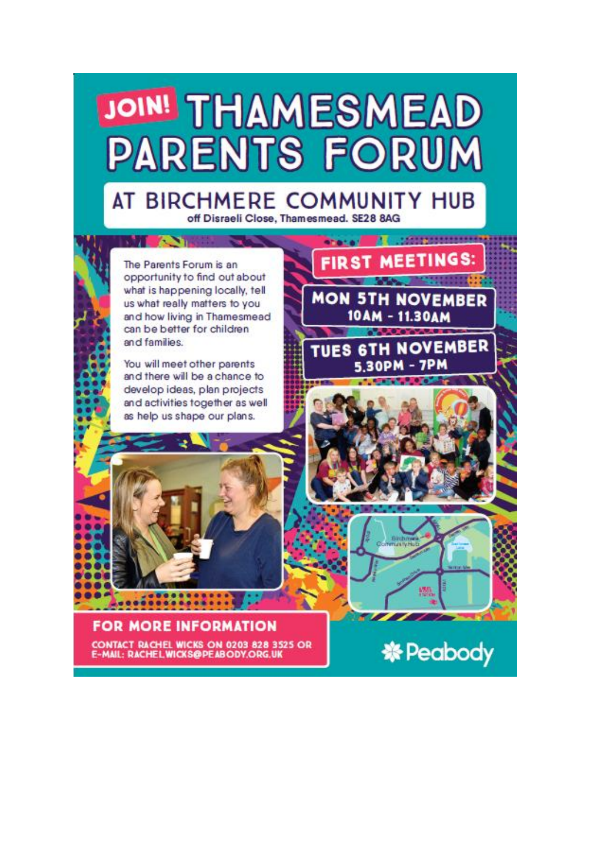

# AT BIRCHMERE COMMUNITY HUB off Disraeli Close, Thamesmead, SE28 8AG

The Parents Forum is an opportunity to find out about what is happening locally, tell us what really matters to you and how living in Thamesmead can be better for children and families

**TAXABLE PROPERTY** 

You will meet other parents and there will be a chance to develop ideas, plan projects and activities together as well as help us shape our plans.



**FOR MORE INFORMATION** CONTACT RACHEL WICKS ON 0203 828 3525 OR<br>E-MAIL: RACHEL WICKS@PEABODY.ORG.UK



*<u>CONTRACTORSSESS</u>*